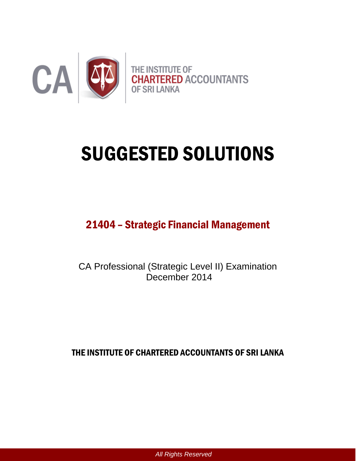

# SUGGESTED SOLUTIONS

# 21404 – Strategic Financial Management

CA Professional (Strategic Level II) Examination December 2014

THE INSTITUTE OF CHARTERED ACCOUNTANTS OF SRI LANKA

*All Rights Reserved*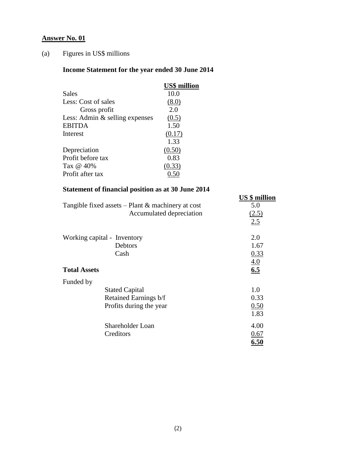# **Answer No. 01**

# (a) Figures in US\$ millions

# **Income Statement for the year ended 30 June 2014**

|                                   | <b>US\$</b> million |
|-----------------------------------|---------------------|
| Sales                             | 10.0                |
| Less: Cost of sales               | (8.0)               |
| Gross profit                      | 2.0                 |
| Less: Admin $\&$ selling expenses | (0.5)               |
| <b>EBITDA</b>                     | 1.50                |
| Interest                          | (0.17)              |
|                                   | 1.33                |
| Depreciation                      | (0.50)              |
| Profit before tax                 | 0.83                |
| Tax @ 40%                         | (0.33)              |
| Profit after tax                  |                     |
|                                   |                     |

# **Statement of financial position as at 30 June 2014**

|                                                        | <b>US</b> \$ million |
|--------------------------------------------------------|----------------------|
| Tangible fixed assets $-$ Plant $\&$ machinery at cost | 5.0                  |
| Accumulated depreciation                               | (2.5)                |
|                                                        | 2.5                  |
| Working capital - Inventory                            | 2.0                  |
| Debtors                                                | 1.67                 |
| Cash                                                   | 0.33                 |
|                                                        | $\underline{4.0}$    |
| <b>Total Assets</b>                                    | 6.5                  |
| Funded by                                              |                      |
| <b>Stated Capital</b>                                  | 1.0                  |
| Retained Earnings b/f                                  | 0.33                 |
| Profits during the year                                | 0.50                 |
|                                                        | 1.83                 |
| Shareholder Loan                                       | 4.00                 |
| Creditors                                              | 0.67                 |
|                                                        | 6.50                 |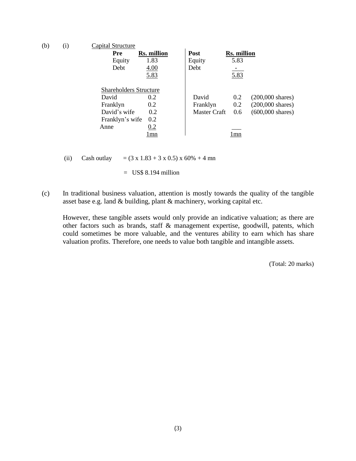| (b) | (i) | Capital Structure             |                    |              |                    |                            |
|-----|-----|-------------------------------|--------------------|--------------|--------------------|----------------------------|
|     |     | <b>Pre</b>                    | <b>Rs. million</b> | <b>Post</b>  | <b>Rs. million</b> |                            |
|     |     | Equity                        | 1.83               | Equity       | 5.83               |                            |
|     |     | Debt                          | 4.00               | Debt         |                    |                            |
|     |     |                               | 5.83               |              | 5.83               |                            |
|     |     | <b>Shareholders Structure</b> |                    |              |                    |                            |
|     |     | David                         | 0.2                | David        | 0.2                | $(200,000 \text{ shares})$ |
|     |     | Franklyn                      | 0.2                | Franklyn     | 0.2                | $(200,000 \text{ shares})$ |
|     |     | David's wife                  | 0.2                | Master Craft | 0.6                | $(600,000 \text{ shares})$ |
|     |     | Franklyn's wife               | 0.2                |              |                    |                            |
|     |     | Anne                          | 0.2                |              |                    |                            |
|     |     |                               | l mn               |              | l mn               |                            |
|     |     |                               |                    |              |                    |                            |

(ii) Cash outlay =  $(3 \times 1.83 + 3 \times 0.5) \times 60\% + 4 \text{ mn}$ 

 $=$  US\$ 8.194 million

(c) In traditional business valuation, attention is mostly towards the quality of the tangible asset base e.g. land & building, plant & machinery, working capital etc.

However, these tangible assets would only provide an indicative valuation; as there are other factors such as brands, staff & management expertise, goodwill, patents, which could sometimes be more valuable, and the ventures ability to earn which has share valuation profits. Therefore, one needs to value both tangible and intangible assets.

(Total: 20 marks)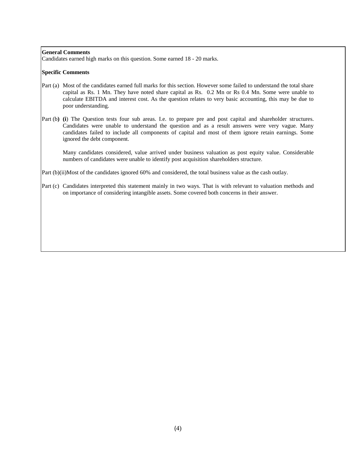#### **General Comments**

Candidates earned high marks on this question. Some earned 18 - 20 marks.

#### **Specific Comments**

- Part (a) Most of the candidates earned full marks for this section. However some failed to understand the total share capital as Rs. 1 Mn. They have noted share capital as Rs. 0.2 Mn or Rs 0.4 Mn. Some were unable to calculate EBITDA and interest cost. As the question relates to very basic accounting, this may be due to poor understanding.
- Part (b) (i) The Question tests four sub areas. I.e. to prepare pre and post capital and shareholder structures. Candidates were unable to understand the question and as a result answers were very vague. Many candidates failed to include all components of capital and most of them ignore retain earnings. Some ignored the debt component.

Many candidates considered, value arrived under business valuation as post equity value. Considerable numbers of candidates were unable to identify post acquisition shareholders structure.

Part (b)(ii)Most of the candidates ignored 60% and considered, the total business value as the cash outlay.

Part (c) Candidates interpreted this statement mainly in two ways. That is with relevant to valuation methods and on importance of considering intangible assets. Some covered both concerns in their answer.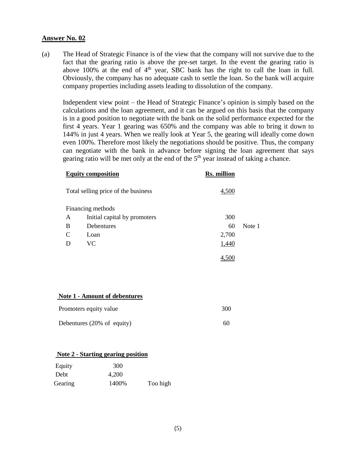#### **Answer No. 02**

(a) The Head of Strategic Finance is of the view that the company will not survive due to the fact that the gearing ratio is above the pre-set target. In the event the gearing ratio is above  $100\%$  at the end of  $4<sup>th</sup>$  year, SBC bank has the right to call the loan in full. Obviously, the company has no adequate cash to settle the loan. So the bank will acquire company properties including assets leading to dissolution of the company.

Independent view point – the Head of Strategic Finance's opinion is simply based on the calculations and the loan agreement, and it can be argued on this basis that the company is in a good position to negotiate with the bank on the solid performance expected for the first 4 years. Year 1 gearing was 650% and the company was able to bring it down to 144% in just 4 years. When we really look at Year 5, the gearing will ideally come down even 100%. Therefore most likely the negotiations should be positive. Thus, the company can negotiate with the bank in advance before signing the loan agreement that says gearing ratio will be met only at the end of the 5<sup>th</sup> year instead of taking a chance.

|   | <b>Equity composition</b>           | <b>Rs. million</b> |        |
|---|-------------------------------------|--------------------|--------|
|   | Total selling price of the business | 4,500              |        |
|   | Financing methods                   |                    |        |
| A | Initial capital by promoters        | 300                |        |
| B | Debentures                          | 60                 | Note 1 |
| C | Loan                                | 2,700              |        |
| D | VС                                  | 1,440              |        |
|   |                                     | 4.500              |        |

#### **Note 1 - Amount of debentures**

| Promoters equity value     | 300 |
|----------------------------|-----|
| Debentures (20% of equity) | 60  |

#### **Note 2 - Starting gearing position**

| Equity  | 300   |          |
|---------|-------|----------|
| Debt    | 4,200 |          |
| Gearing | 1400% | Too high |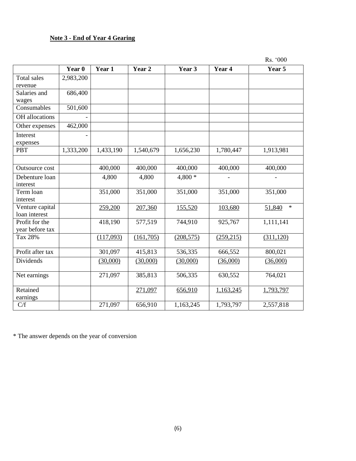# **Note 3 - End of Year 4 Gearing**

Rs. '000

|                                   | Year 0    | Year 1    | Year 2    | Year 3     | Year 4     | Year 5           |
|-----------------------------------|-----------|-----------|-----------|------------|------------|------------------|
| Total sales<br>revenue            | 2,983,200 |           |           |            |            |                  |
| Salaries and<br>wages             | 686,400   |           |           |            |            |                  |
| Consumables                       | 501,600   |           |           |            |            |                  |
| OH allocations                    |           |           |           |            |            |                  |
| Other expenses                    | 462,000   |           |           |            |            |                  |
| Interest<br>expenses              |           |           |           |            |            |                  |
| <b>PBT</b>                        | 1,333,200 | 1,433,190 | 1,540,679 | 1,656,230  | 1,780,447  | 1,913,981        |
|                                   |           |           |           |            |            |                  |
| Outsource cost                    |           | 400,000   | 400,000   | 400,000    | 400,000    | 400,000          |
| Debenture loan<br>interest        |           | 4,800     | 4,800     | $4,800*$   |            |                  |
| Term loan<br>interest             |           | 351,000   | 351,000   | 351,000    | 351,000    | 351,000          |
| Venture capital<br>loan interest  |           | 259,200   | 207,360   | 155,520    | 103,680    | $\ast$<br>51,840 |
| Profit for the<br>year before tax |           | 418,190   | 577,519   | 744,910    | 925,767    | 1,111,141        |
| Tax 28%                           |           | (117,093) | (161,705) | (208, 575) | (259, 215) | (311, 120)       |
| Profit after tax                  |           | 301,097   | 415,813   | 536,335    | 666,552    | 800,021          |
| Dividends                         |           | (30,000)  | (30,000)  | (30,000)   | (36,000)   | (36,000)         |
| Net earnings                      |           | 271,097   | 385,813   | 506,335    | 630,552    | 764,021          |
| Retained<br>earnings              |           |           | 271,097   | 656,910    | 1,163,245  | 1,793,797        |
| C/f                               |           | 271,097   | 656,910   | 1,163,245  | 1,793,797  | 2,557,818        |

\* The answer depends on the year of conversion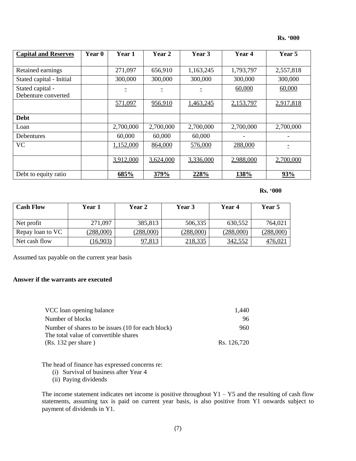| <b>Capital and Reserves</b> | Year 0 | Year 1    | Year 2    | Year 3    | Year 4    | Year 5    |
|-----------------------------|--------|-----------|-----------|-----------|-----------|-----------|
|                             |        |           |           |           |           |           |
| Retained earnings           |        | 271,097   | 656,910   | 1,163,245 | 1,793,797 | 2,557,818 |
| Stated capital - Initial    |        | 300,000   | 300,000   | 300,000   | 300,000   | 300,000   |
| Stated capital -            |        |           |           |           | 60,000    | 60,000    |
| Debenture converted         |        |           |           |           |           |           |
|                             |        | 571,097   | 956,910   | 1,463,245 | 2,153,797 | 2,917,818 |
|                             |        |           |           |           |           |           |
| <b>Debt</b>                 |        |           |           |           |           |           |
| Loan                        |        | 2,700,000 | 2,700,000 | 2,700,000 | 2,700,000 | 2,700,000 |
| <b>Debentures</b>           |        | 60,000    | 60,000    | 60,000    |           |           |
| <b>VC</b>                   |        | 1,152,000 | 864,000   | 576,000   | 288,000   |           |
|                             |        |           |           |           |           |           |
|                             |        | 3,912,000 | 3,624,000 | 3,336,000 | 2,988,000 | 2,700,000 |
|                             |        |           |           |           |           |           |
| Debt to equity ratio        |        | 685%      | 379%      | 228%      | 138%      | 93%       |

#### **Rs. '000**

| <b>Cash Flow</b> | Year 1    | <b>Year 2</b> | <b>Year 3</b> | Year 4    | Year 5    |
|------------------|-----------|---------------|---------------|-----------|-----------|
|                  |           |               |               |           |           |
| Net profit       | 271,097   | 385,813       | 506,335       | 630,552   | 764,021   |
| Repay loan to VC | (288,000) | (288,000)     | (288,000)     | (288,000) | (288,000) |
| Net cash flow    | (16,903)  | 97,813        | 218,335       | 342,552   | 476,02    |

Assumed tax payable on the current year basis

#### **Answer if the warrants are executed**

| VCC loan opening balance                          | 1.440       |
|---------------------------------------------------|-------------|
| Number of blocks                                  | 96          |
| Number of shares to be issues (10 for each block) | 960         |
| The total value of convertible shares             |             |
| $(Rs. 132 \text{ per share})$                     | Rs. 126,720 |

The head of finance has expressed concerns re:

(i) Survival of business after Year 4

(ii) Paying dividends

The income statement indicates net income is positive throughout  $Y1 - Y5$  and the resulting of cash flow statements, assuming tax is paid on current year basis, is also positive from Y1 onwards subject to payment of dividends in Y1.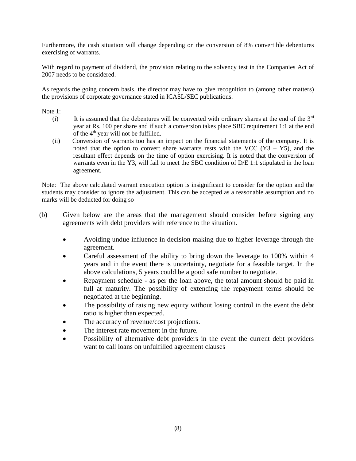Furthermore, the cash situation will change depending on the conversion of 8% convertible debentures exercising of warrants.

With regard to payment of dividend, the provision relating to the solvency test in the Companies Act of 2007 needs to be considered.

As regards the going concern basis, the director may have to give recognition to (among other matters) the provisions of corporate governance stated in ICASL/SEC publications.

Note 1:

- (i) It is assumed that the debentures will be converted with ordinary shares at the end of the  $3<sup>rd</sup>$ year at Rs. 100 per share and if such a conversion takes place SBC requirement 1:1 at the end of the  $4<sup>th</sup>$  year will not be fulfilled.
- (ii) Conversion of warrants too has an impact on the financial statements of the company. It is noted that the option to convert share warrants rests with the VCC  $(Y3 - Y5)$ , and the resultant effect depends on the time of option exercising. It is noted that the conversion of warrants even in the Y3, will fail to meet the SBC condition of D/E 1:1 stipulated in the loan agreement.

Note: The above calculated warrant execution option is insignificant to consider for the option and the students may consider to ignore the adjustment. This can be accepted as a reasonable assumption and no marks will be deducted for doing so

- (b) Given below are the areas that the management should consider before signing any agreements with debt providers with reference to the situation.
	- Avoiding undue influence in decision making due to higher leverage through the agreement.
	- Careful assessment of the ability to bring down the leverage to 100% within 4 years and in the event there is uncertainty, negotiate for a feasible target. In the above calculations, 5 years could be a good safe number to negotiate.
	- Repayment schedule as per the loan above, the total amount should be paid in full at maturity. The possibility of extending the repayment terms should be negotiated at the beginning.
	- The possibility of raising new equity without losing control in the event the debt ratio is higher than expected.
	- The accuracy of revenue/cost projections.
	- The interest rate movement in the future.
	- Possibility of alternative debt providers in the event the current debt providers want to call loans on unfulfilled agreement clauses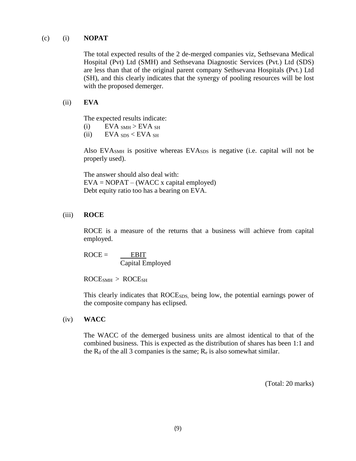#### (c) (i) **NOPAT**

The total expected results of the 2 de-merged companies viz, Sethsevana Medical Hospital (Pvt) Ltd (SMH) and Sethsevana Diagnostic Services (Pvt.) Ltd (SDS) are less than that of the original parent company Sethsevana Hospitals (Pvt.) Ltd (SH), and this clearly indicates that the synergy of pooling resources will be lost with the proposed demerger.

#### (ii) **EVA**

The expected results indicate:

- (i)  $EVA_{SMH} > EVA_{SH}$
- (ii)  $EVA_{SDS} < EVA_{SH}$

Also EVA<sub>SMH</sub> is positive whereas EVA<sub>SDS</sub> is negative (i.e. capital will not be properly used).

The answer should also deal with:  $EVA = NOPAT - (WACC x capital employed)$ Debt equity ratio too has a bearing on EVA.

#### (iii) **ROCE**

ROCE is a measure of the returns that a business will achieve from capital employed.

 $ROCE = EBIT$ Capital Employed

ROCESMH > ROCESH

This clearly indicates that ROCE<sub>SDS</sub>, being low, the potential earnings power of the composite company has eclipsed.

#### (iv) **WACC**

The WACC of the demerged business units are almost identical to that of the combined business. This is expected as the distribution of shares has been 1:1 and the  $R_d$  of the all 3 companies is the same;  $R_e$  is also somewhat similar.

(Total: 20 marks)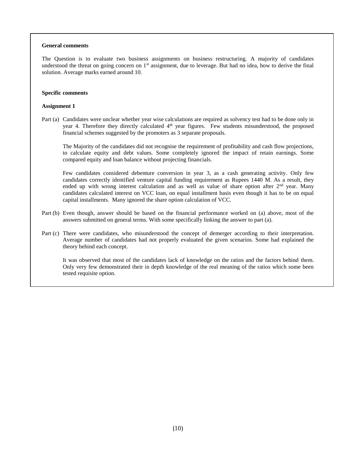#### **General comments**

The Question is to evaluate two business assignments on business restructuring. A majority of candidates understood the threat on going concern on  $1<sup>st</sup>$  assignment, due to leverage. But had no idea, how to derive the final solution. Average marks earned around 10.

#### **Specific comments**

#### **Assignment 1**

Part (a) Candidates were unclear whether year wise calculations are required as solvency test had to be done only in year 4. Therefore they directly calculated 4<sup>th</sup> year figures. Few students misunderstood, the proposed financial schemes suggested by the promoters as 3 separate proposals.

The Majority of the candidates did not recognise the requirement of profitability and cash flow projections, to calculate equity and debt values. Some completely ignored the impact of retain earnings. Some compared equity and loan balance without projecting financials.

Few candidates considered debenture conversion in year 3, as a cash generating activity. Only few candidates correctly identified venture capital funding requirement as Rupees 1440 M. As a result, they ended up with wrong interest calculation and as well as value of share option after 2<sup>nd</sup> year. Many candidates calculated interest on VCC loan, on equal installment basis even though it has to be on equal capital installments. Many ignored the share option calculation of VCC.

- Part (b) Even though, answer should be based on the financial performance worked on (a) above, most of the answers submitted on general terms. With some specifically linking the answer to part (a).
- Part (c) There were candidates, who misunderstood the concept of demerger according to their interpretation. Average number of candidates had not properly evaluated the given scenarios. Some had explained the theory behind each concept.

It was observed that most of the candidates lack of knowledge on the ratios and the factors behind them. Only very few demonstrated their in depth knowledge of the real meaning of the ratios which some been tested requisite option.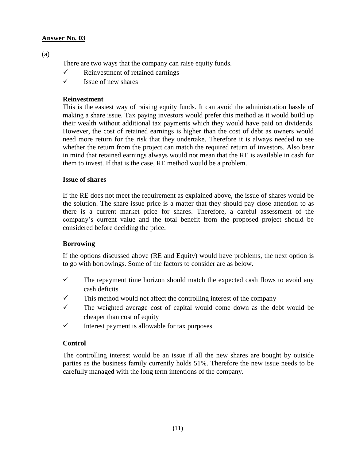# **Answer No. 03**

(a)

There are two ways that the company can raise equity funds.

- $\checkmark$  Reinvestment of retained earnings
- $\checkmark$  Issue of new shares

## **Reinvestment**

This is the easiest way of raising equity funds. It can avoid the administration hassle of making a share issue. Tax paying investors would prefer this method as it would build up their wealth without additional tax payments which they would have paid on dividends. However, the cost of retained earnings is higher than the cost of debt as owners would need more return for the risk that they undertake. Therefore it is always needed to see whether the return from the project can match the required return of investors. Also bear in mind that retained earnings always would not mean that the RE is available in cash for them to invest. If that is the case, RE method would be a problem.

#### **Issue of shares**

If the RE does not meet the requirement as explained above, the issue of shares would be the solution. The share issue price is a matter that they should pay close attention to as there is a current market price for shares. Therefore, a careful assessment of the company's current value and the total benefit from the proposed project should be considered before deciding the price.

# **Borrowing**

If the options discussed above (RE and Equity) would have problems, the next option is to go with borrowings. Some of the factors to consider are as below.

- $\checkmark$  The repayment time horizon should match the expected cash flows to avoid any cash deficits
- $\checkmark$  This method would not affect the controlling interest of the company
- $\checkmark$  The weighted average cost of capital would come down as the debt would be cheaper than cost of equity
- $\checkmark$  Interest payment is allowable for tax purposes

#### **Control**

The controlling interest would be an issue if all the new shares are bought by outside parties as the business family currently holds 51%. Therefore the new issue needs to be carefully managed with the long term intentions of the company.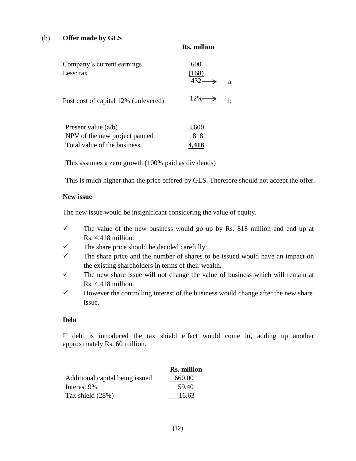#### (b) **Offer made by GLS**

|                                      | -KS. million               |   |
|--------------------------------------|----------------------------|---|
| Company's current earnings           | 600                        |   |
| Less: tax                            | (168)<br>$432 \rightarrow$ | a |
| Post cost of capital 12% (unlevered) | $12\% \rightarrow$         |   |
| Present value $(a/b)$                | 3,600                      |   |

NPV of the new project panned 818 Total value of the business **4,418** 

This assumes a zero growth (100% paid as dividends)

This is much higher than the price offered by GLS. Therefore should not accept the offer.

**Rs. million**

#### **New issue**

The new issue would be insignificant considering the value of equity.

- $\checkmark$  The value of the new business would go up by Rs. 818 million and end up at Rs. 4,418 million.
- $\checkmark$  The share price should be decided carefully.
- $\checkmark$  The share price and the number of shares to be issued would have an impact on the existing shareholders in terms of their wealth.
- $\checkmark$  The new share issue will not change the value of business which will remain at Rs. 4,418 million.
- $\checkmark$  However the controlling interest of the business would change after the new share issue.

#### **Debt**

If debt is introduced the tax shield effect would come in, adding up another approximately Rs. 60 million.

|                                 | <b>Rs. million</b> |
|---------------------------------|--------------------|
| Additional capital being issued | 660.00             |
| Interest 9%                     | 59.40              |
| Tax shield $(28%)$              | 16.63              |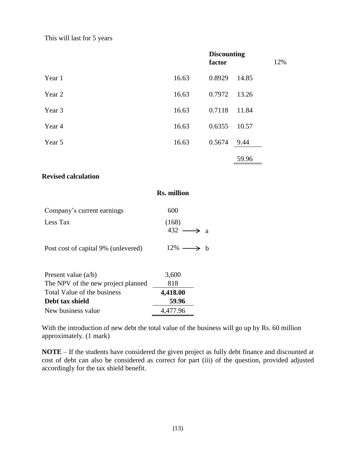This will last for 5 years

|        |       | <b>Discounting</b><br>factor |       | 12% |
|--------|-------|------------------------------|-------|-----|
| Year 1 | 16.63 | 0.8929                       | 14.85 |     |
| Year 2 | 16.63 | 0.7972                       | 13.26 |     |
| Year 3 | 16.63 | 0.7118                       | 11.84 |     |
| Year 4 | 16.63 | 0.6355                       | 10.57 |     |
| Year 5 | 16.63 | 0.5674                       | 9.44  |     |
|        |       |                              | 59.96 |     |

## **Revised calculation**

|                                     | <b>Rs. million</b>             |
|-------------------------------------|--------------------------------|
| Company's current earnings          | 600                            |
| Less Tax                            | (168)<br>432<br>$\overline{a}$ |
| Post cost of capital 9% (unlevered) | $12\% \longrightarrow$<br>- h  |
| Present value $(a/b)$               | 3,600                          |
| The NPV of the new project planned  | 818                            |
| Total Value of the business         | 4,418.00                       |
| Debt tax shield                     | 59.96                          |
| New business value                  | 4,477.96                       |
|                                     |                                |

With the introduction of new debt the total value of the business will go up by Rs. 60 million approximately. (1 mark)

**NOTE** – If the students have considered the given project as fully debt finance and discounted at cost of debt can also be considered as correct for part (iii) of the question, provided adjusted accordingly for the tax shield benefit.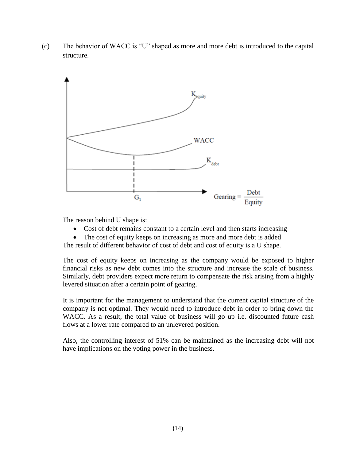(c) The behavior of WACC is "U" shaped as more and more debt is introduced to the capital structure.



The reason behind U shape is:

- Cost of debt remains constant to a certain level and then starts increasing
- The cost of equity keeps on increasing as more and more debt is added

The result of different behavior of cost of debt and cost of equity is a U shape.

The cost of equity keeps on increasing as the company would be exposed to higher financial risks as new debt comes into the structure and increase the scale of business. Similarly, debt providers expect more return to compensate the risk arising from a highly levered situation after a certain point of gearing.

It is important for the management to understand that the current capital structure of the company is not optimal. They would need to introduce debt in order to bring down the WACC. As a result, the total value of business will go up i.e. discounted future cash flows at a lower rate compared to an unlevered position.

Also, the controlling interest of 51% can be maintained as the increasing debt will not have implications on the voting power in the business.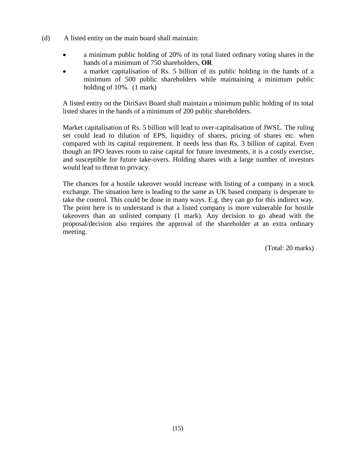- (d) A listed entity on the main board shall maintain:
	- a minimum public holding of 20% of its total listed ordinary voting shares in the hands of a minimum of 750 shareholders, **OR**
	- a market capitalisation of Rs. 5 billion of its public holding in the hands of a minimum of 500 public shareholders while maintaining a minimum public holding of 10%. (1 mark)

A listed entity on the DiriSavi Board shall maintain a minimum public holding of its total listed shares in the hands of a minimum of 200 public shareholders.

Market capitalisation of Rs. 5 billion will lead to over-capitalisation of JWSL. The ruling set could lead to dilution of EPS, liquidity of shares, pricing of shares etc. when compared with its capital requirement. It needs less than Rs. 3 billion of capital. Even though an IPO leaves room to raise capital for future investments, it is a costly exercise, and susceptible for future take-overs. Holding shares with a large number of investors would lead to threat to privacy.

The chances for a hostile takeover would increase with listing of a company in a stock exchange. The situation here is leading to the same as UK based company is desperate to take the control. This could be done in many ways. E.g. they can go for this indirect way. The point here is to understand is that a listed company is more vulnerable for hostile takeovers than an unlisted company (1 mark). Any decision to go ahead with the proposal/decision also requires the approval of the shareholder at an extra ordinary meeting.

(Total: 20 marks)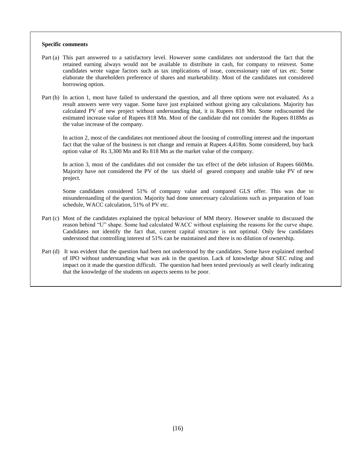#### **Specific comments**

- Part (a) This part answered to a satisfactory level. However some candidates not understood the fact that the retained earning always would not be available to distribute in cash, for company to reinvest. Some candidates wrote vague factors such as tax implications of issue, concessionary rate of tax etc. Some elaborate the shareholders preference of shares and marketability. Most of the candidates not considered borrowing option.
- Part (b) In action 1, most have failed to understand the question, and all three options were not evaluated. As a result answers were very vague. Some have just explained without giving any calculations. Majority has calculated PV of new project without understanding that, it is Rupees 818 Mn. Some rediscounted the estimated increase value of Rupees 818 Mn. Most of the candidate did not consider the Rupees 818Mn as the value increase of the company.

In action 2, most of the candidates not mentioned about the loosing of controlling interest and the important fact that the value of the business is not change and remain at Rupees 4,418m. Some considered, buy back option value of Rs 3,300 Mn and Rs 818 Mn as the market value of the company.

In action 3, most of the candidates did not consider the tax effect of the debt infusion of Rupees 660Mn. Majority have not considered the PV of the tax shield of geared company and unable take PV of new project.

Some candidates considered 51% of company value and compared GLS offer. This was due to misunderstanding of the question. Majority had done unnecessary calculations such as preparation of loan schedule, WACC calculation, 51% of PV etc.

- Part (c) Most of the candidates explained the typical behaviour of MM theory. However unable to discussed the reason behind "U" shape. Some had calculated WACC without explaining the reasons for the curve shape. Candidates not identify the fact that, current capital structure is not optimal. Only few candidates understood that controlling interest of 51% can be maintained and there is no dilution of ownership.
- Part (d) It was evident that the question had been not understood by the candidates. Some have explained method of IPO without understanding what was ask in the question. Lack of knowledge about SEC ruling and impact on it made the question difficult. The question had been tested previously as well clearly indicating that the knowledge of the students on aspects seems to be poor.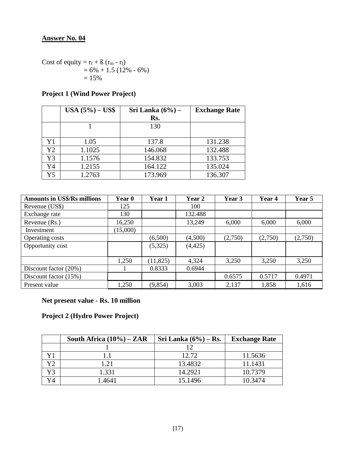# **Answer No. 04**

Cost of equity =  $r_f$  +  $\beta$  ( $r_m$  -  $r_f$ )  $= 6\% + 1.5$  (12% - 6%)  $= 15%$ 

# **Project 1 (Wind Power Project)**

|    | <b>USA</b> $(5\%)$ – <b>US\$</b> | Sri Lanka $(6\%)$ – | <b>Exchange Rate</b> |
|----|----------------------------------|---------------------|----------------------|
|    |                                  | Rs.                 |                      |
|    |                                  | 130                 |                      |
|    |                                  |                     |                      |
| Y1 | 1.05                             | 137.8               | 131.238              |
| Y2 | 1.1025                           | 146.068             | 132.488              |
| Y3 | 1.1576                           | 154.832             | 133.753              |
| Y4 | 1.2155                           | 164.122             | 135.024              |
| Y5 | 1.2763                           | 173.969             | 136.307              |

| <b>Amounts in US\$/Rs millions</b> | Year 0   | Year 1    | Year 2   | Year 3  | Year 4  | Year 5  |
|------------------------------------|----------|-----------|----------|---------|---------|---------|
| Revenue (US\$)                     | 125      |           | 100      |         |         |         |
| Exchange rate                      | 130      |           | 132.488  |         |         |         |
| Revenue (Rs.)                      | 16,250   |           | 13,249   | 6,000   | 6,000   | 6,000   |
| Investment                         | (15,000) |           |          |         |         |         |
| Operating costs                    |          | (6,500)   | (4,500)  | (2,750) | (2,750) | (2,750) |
| Opportunity cost                   |          | (5,325)   | (4, 425) |         |         |         |
|                                    |          |           |          |         |         |         |
|                                    | 1,250    | (11, 825) | 4,324    | 3,250   | 3,250   | 3,250   |
| Discount factor (20%)              |          | 0.8333    | 0.6944   |         |         |         |
| Discount factor (15%)              |          |           |          | 0.6575  | 0.5717  | 0.4971  |
| Present value                      | 1,250    | (9, 854)  | 3,003    | 2,137   | 1,858   | 1,616   |

# **Net present value - Rs. 10 million**

# **Project 2 (Hydro Power Project)**

|    | South Africa $(10\%)$ – ZAR | Sri Lanka $(6\%)$ – Rs. | <b>Exchange Rate</b> |
|----|-----------------------------|-------------------------|----------------------|
|    |                             | 12                      |                      |
|    |                             | 12.72                   | 11.5636              |
| Y2 | 1.21                        | 13.4832                 | 11.1431              |
| Y3 | 1.331                       | 14.2921                 | 10.7379              |
| Y4 | 1.4641                      | 15.1496                 | 10.3474              |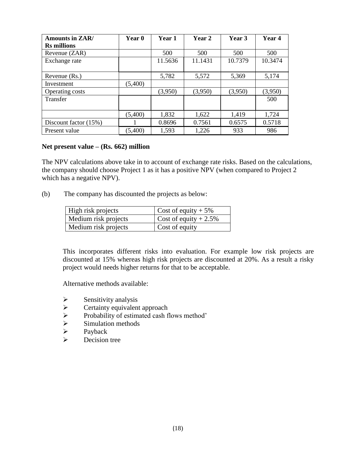| <b>Amounts in ZAR/</b> | <b>Year</b> 0 | Year 1  | Year 2  | Year 3  | Year 4  |
|------------------------|---------------|---------|---------|---------|---------|
| <b>Rs</b> millions     |               |         |         |         |         |
| Revenue (ZAR)          |               | 500     | 500     | 500     | 500     |
| Exchange rate          |               | 11.5636 | 11.1431 | 10.7379 | 10.3474 |
|                        |               |         |         |         |         |
| Revenue (Rs.)          |               | 5,782   | 5,572   | 5,369   | 5,174   |
| Investment             | (5,400)       |         |         |         |         |
| Operating costs        |               | (3,950) | (3,950) | (3,950) | (3,950) |
| Transfer               |               |         |         |         | 500     |
|                        |               |         |         |         |         |
|                        | (5,400)       | 1,832   | 1,622   | 1,419   | 1,724   |
| Discount factor (15%)  |               | 0.8696  | 0.7561  | 0.6575  | 0.5718  |
| Present value          | (5,400)       | 1,593   | 1,226   | 933     | 986     |

#### **Net present value – (Rs. 662) million**

The NPV calculations above take in to account of exchange rate risks. Based on the calculations, the company should choose Project 1 as it has a positive NPV (when compared to Project 2 which has a negative NPV).

(b) The company has discounted the projects as below:

| High risk projects   | Cost of equity $+5\%$   |
|----------------------|-------------------------|
| Medium risk projects | Cost of equity $+2.5\%$ |
| Medium risk projects | Cost of equity          |

This incorporates different risks into evaluation. For example low risk projects are discounted at 15% whereas high risk projects are discounted at 20%. As a result a risky project would needs higher returns for that to be acceptable.

Alternative methods available:

- 
- Sensitivity analysis<br>
Sensitivity equivalent<br>
Sensitivity of estim<br>
Simulation methods<br>
Sensitivity of estimated<br>
Sensitivity of estimated<br>
Sensitivity of estimated<br>
Payback Certainty equivalent approach
- Probability of estimated cash flows method'
- Simulation methods
- $\triangleright$  Payback<br>  $\triangleright$  Decision
- Decision tree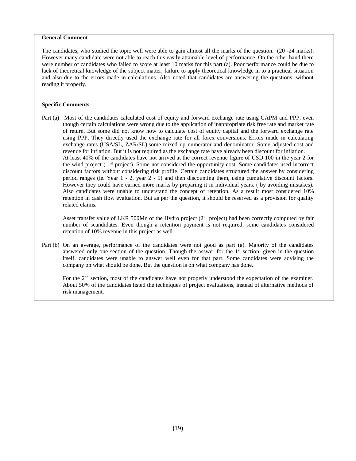#### **General Comment**

The candidates, who studied the topic well were able to gain almost all the marks of the question. (20 -24 marks). However many candidate were not able to reach this easily attainable level of performance. On the other hand there were number of candidates who failed to score at least 10 marks for this part (a). Poor performance could be due to lack of theoretical knowledge of the subject matter, failure to apply theoretical knowledge in to a practical situation and also due to the errors made in calculations. Also noted that candidates are answering the questions, without reading it properly.

#### **Specific Comments**

Part (a) Most of the candidates calculated cost of equity and forward exchange rate using CAPM and PPP, even though certain calculations were wrong due to the application of inappropriate risk free rate and market rate of return. But some did not know how to calculate cost of equity capital and the forward exchange rate using PPP. They directly used the exchange rate for all forex conversions. Errors made in calculating exchange rates (USA/SL, ZAR/SL).some mixed up numerator and denominator. Some adjusted cost and revenue for inflation. But it is not required as the exchange rate have already been discount for inflation. At least 40% of the candidates have not arrived at the correct revenue figure of USD 100 in the year 2 for the wind project  $(1<sup>st</sup>$  project). Some not considered the opportunity cost. Some candidates used incorrect discount factors without considering risk profile. Certain candidates structured the answer by considering period ranges (ie. Year 1 - 2, year 2 - 5) and then discounting them, using cumulative discount factors. However they could have earned more marks by preparing it in individual years. ( by avoiding mistakes). Also candidates were unable to understand the concept of retention. As a result most considered 10% retention in cash flow evaluation. But as per the question, it should be reserved as a provision for quality related claims.

Asset transfer value of LKR 500Mn of the Hydro project (2<sup>nd</sup> project) had been correctly computed by fair number of scandidates. Even though a retention payment is not required, some candidates considered retention of 10% revenue in this project as well.

Part (b) On an average, performance of the candidates were not good as part (a). Majority of the candidates answered only one section of the question. Though the asswer for the 1<sup>st</sup> section, given in the question itself, candidates were unable to answer well even for that part. Some candidates were advising the company on what should be done. But the question is on what company has done.

For the 2<sup>nd</sup> section, most of the candidates have not properly understood the expectation of the examiner. About 50% of the candidates listed the techniques of project evaluations, instead of alternative methods of risk management.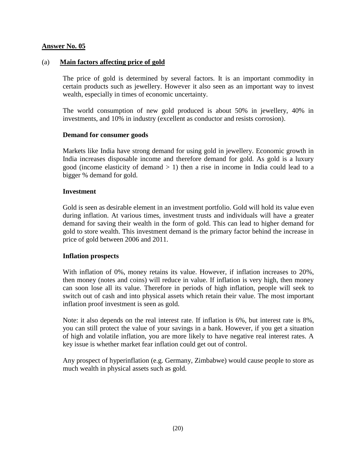#### **Answer No. 05**

#### (a) **Main factors affecting price of gold**

The price of gold is determined by several factors. It is an important commodity in certain products such as jewellery. However it also seen as an important way to invest wealth, especially in times of economic uncertainty.

The world consumption of new gold produced is about 50% in jewellery, 40% in investments, and 10% in industry (excellent as conductor and resists corrosion).

#### **Demand for consumer goods**

Markets like India have strong demand for using gold in jewellery. Economic growth in India increases disposable income and therefore demand for gold. As gold is a luxury good (income elasticity of demand  $> 1$ ) then a rise in income in India could lead to a bigger % demand for gold.

#### **Investment**

Gold is seen as desirable element in an investment portfolio. Gold will hold its value even during inflation. At various times, investment trusts and individuals will have a greater demand for saving their wealth in the form of gold. This can lead to higher demand for gold to store wealth. This investment demand is the primary factor behind the increase in price of gold between 2006 and 2011.

#### **Inflation prospects**

With inflation of 0%, money retains its value. However, if inflation increases to 20%, then money (notes and coins) will reduce in value. If inflation is very high, then money can soon lose all its value. Therefore in periods of high inflation, people will seek to switch out of cash and into physical assets which retain their value. The most important inflation proof investment is seen as gold.

Note: it also depends on the real interest rate. If inflation is 6%, but interest rate is 8%, you can still protect the value of your savings in a bank. However, if you get a situation of high and volatile inflation, you are more likely to have negative real interest rates. A key issue is whether market fear inflation could get out of control.

Any prospect of hyperinflation (e.g. Germany, Zimbabwe) would cause people to store as much wealth in physical assets such as gold.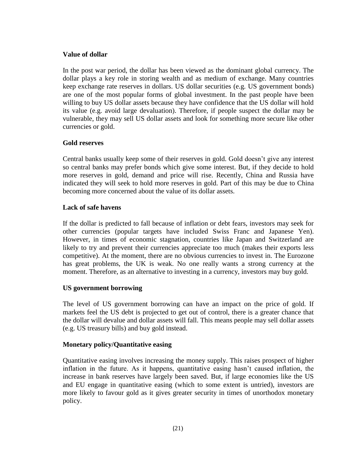#### **Value of dollar**

In the post war period, the dollar has been viewed as the dominant global currency. The dollar plays a key role in storing wealth and as medium of exchange. Many countries keep exchange rate reserves in dollars. US dollar securities (e.g. US government bonds) are one of the most popular forms of global investment. In the past people have been willing to buy US dollar assets because they have confidence that the US dollar will hold its value (e.g. avoid large devaluation). Therefore, if people suspect the dollar may be vulnerable, they may sell US dollar assets and look for something more secure like other currencies or gold.

## **Gold reserves**

Central banks usually keep some of their reserves in gold. Gold doesn't give any interest so central banks may prefer bonds which give some interest. But, if they decide to hold more reserves in gold, demand and price will rise. Recently, China and Russia have indicated they will seek to hold more reserves in gold. Part of this may be due to China becoming more concerned about the value of its dollar assets.

## **Lack of safe havens**

If the dollar is predicted to fall because of inflation or debt fears, investors may seek for other currencies (popular targets have included Swiss Franc and Japanese Yen). However, in times of economic stagnation, countries like Japan and Switzerland are likely to try and prevent their currencies appreciate too much (makes their exports less competitive). At the moment, there are no obvious currencies to invest in. The Eurozone has great problems, the UK is weak. No one really wants a strong currency at the moment. Therefore, as an alternative to investing in a currency, investors may buy gold.

#### **US government borrowing**

The level of US government borrowing can have an impact on the price of gold. If markets feel the US debt is projected to get out of control, there is a greater chance that the dollar will devalue and dollar assets will fall. This means people may sell dollar assets (e.g. US treasury bills) and buy gold instead.

#### **Monetary policy/Quantitative easing**

Quantitative easing involves increasing the money supply. This raises prospect of higher inflation in the future. As it happens, quantitative easing hasn't caused inflation, the increase in bank reserves have largely been saved. But, if large economies like the US and EU engage in quantitative easing (which to some extent is untried), investors are more likely to favour gold as it gives greater security in times of unorthodox monetary policy.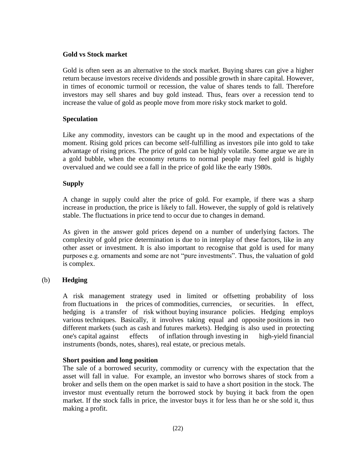## **Gold vs Stock market**

Gold is often seen as an alternative to the stock market. Buying shares can give a higher return because investors receive dividends and possible growth in share capital. However, in times of economic turmoil or recession, the value of shares tends to fall. Therefore investors may sell shares and buy gold instead. Thus, fears over a recession tend to increase the value of gold as people move from more risky stock market to gold.

### **Speculation**

Like any commodity, investors can be caught up in the mood and expectations of the moment. Rising gold prices can become self-fulfilling as investors pile into gold to take advantage of rising prices. The price of gold can be highly volatile. Some argue we are in a gold bubble, when the economy returns to normal people may feel gold is highly overvalued and we could see a fall in the price of gold like the early 1980s.

## **Supply**

A change in supply could alter the price of gold. For example, if there was a sharp increase in production, the price is likely to fall. However, the supply of gold is relatively stable. The fluctuations in price tend to occur due to changes in demand.

As given in the answer gold prices depend on a number of underlying factors. The complexity of gold price determination is due to in interplay of these factors, like in any other asset or investment. It is also important to recognise that gold is used for many purposes e.g. ornaments and some are not "pure investments". Thus, the valuation of gold is complex.

# (b) **Hedging**

 A risk management strategy used in limited or offsetting probability of loss from [fluctuations](http://www.businessdictionary.com/definition/fluctuation.html) in the [prices](http://www.businessdictionary.com/definition/price.html) of [commodities,](http://www.businessdictionary.com/definition/commodity.html) [currencies,](http://www.businessdictionary.com/definition/currency.html) or [securities.](http://www.businessdictionary.com/definition/securities.html) In effect, hedging is a transfer [of risk](http://www.businessdictionary.com/definition/risk-transfer.html) without [buying](http://www.businessdictionary.com/definition/buyer.html) [insurance](http://www.businessdictionary.com/definition/insurance-policy.html) policies. Hedging employs various [techniques.](http://www.businessdictionary.com/definition/technique.html) Basically, it involves taking equal and opposite [positions](http://www.businessdictionary.com/definition/position.html) in two different [markets](http://www.businessdictionary.com/definition/market.html) (such as [cash](http://www.businessdictionary.com/definition/cash.html) and [futures markets\)](http://www.businessdictionary.com/definition/futures-market.html). Hedging is also used in protecting one's [capital](http://www.businessdictionary.com/definition/capital.html) against effects of [inflation](http://www.businessdictionary.com/definition/inflation.html) through [investing](http://www.businessdictionary.com/definition/investing.html) in high-yield [financial](http://www.businessdictionary.com/definition/financial-instrument.html)  [instruments](http://www.businessdictionary.com/definition/financial-instrument.html) [\(bonds,](http://www.businessdictionary.com/definition/bond.html) [notes,](http://www.businessdictionary.com/definition/notes.html) [shares\)](http://www.businessdictionary.com/definition/share.html), [real estate,](http://www.businessdictionary.com/definition/real-estate.html) or [precious metals.](http://www.businessdictionary.com/definition/precious-metals.html)

#### **Short position and long position**

The sale of a borrowed security, commodity or currency with the expectation that the asset will fall in value. For example, an investor who borrows shares of stock from a broker and sells them on the open market is said to have a short position in the stock. The investor must eventually return the borrowed stock by buying it back from the open market. If the stock falls in price, the investor buys it for less than he or she sold it, thus making a profit.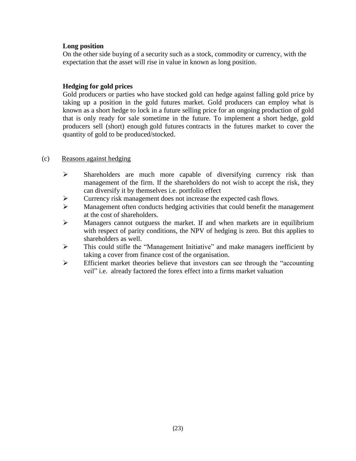#### **Long position**

On the other side buying of a security such as a stock, commodity or currency, with the expectation that the asset will rise in value in known as long position.

# **Hedging for gold prices**

Gold producers or parties who have stocked gold can hedge against falling gold price by taking up a position in the gold futures market. Gold producers can employ what is known as a [short hedge](http://www.theoptionsguide.com/short-hedge.aspx) to lock in a future selling price for an ongoing production of gold that is only ready for sale sometime in the future. To implement a short hedge, gold producers sell (short) enough [gold futures](http://www.theoptionsguide.com/gold-futures.aspx) contracts in the futures market to cover the quantity of gold to be produced/stocked.

# (c) Reasons against hedging

- $\triangleright$  Shareholders are much more capable of diversifying currency risk than management of the firm. If the shareholders do not wish to accept the risk, they can diversify it by themselves i.e. portfolio effect
- Currency risk management does not increase the expected cash flows.
- $\triangleright$  Management often conducts hedging activities that could benefit the management at the cost of shareholders.
- $\triangleright$  Managers cannot outguess the market. If and when markets are in equilibrium with respect of parity conditions, the NPV of hedging is zero. But this applies to shareholders as well.
- This could stifle the "Management Initiative" and make managers inefficient by taking a cover from finance cost of the organisation.
- $\triangleright$  Efficient market theories believe that investors can see through the "accounting" veil" i.e. already factored the forex effect into a firms market valuation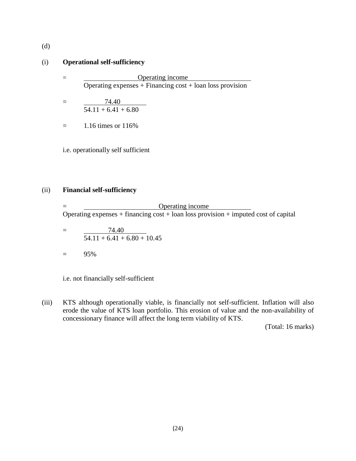(d)

#### (i) **Operational self-sufficiency**

- = Operating income Operating expenses + Financing cost + loan loss provision
- $= 74.40$  $54.11 + 6.41 + 6.80$
- $=$  1.16 times or 116\%

i.e. operationally self sufficient

#### (ii) **Financial self-sufficiency**

= Operating income Operating expenses + financing  $\cos t$  + loan loss provision + imputed cost of capital

- $=$  74.40  $54.11 + 6.41 + 6.80 + 10.45$
- $=$  95%

i.e. not financially self-sufficient

(iii) KTS although operationally viable, is financially not self-sufficient. Inflation will also erode the value of KTS loan portfolio. This erosion of value and the non-availability of concessionary finance will affect the long term viability of KTS.

(Total: 16 marks)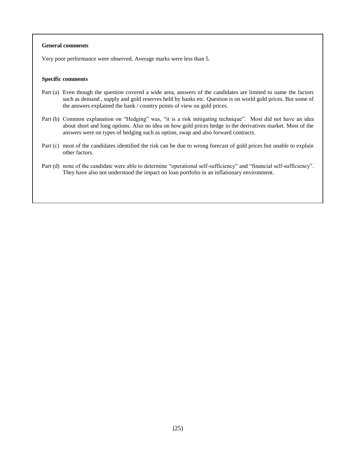#### **General comments**

Very poor performance were observed. Average marks were less than 5.

#### **Specific comments**

- Part (a) Even though the question covered a wide area, answers of the candidates are limited to name the factors such as demand , supply and gold reserves held by banks etc. Question is on world gold prices. But some of the answers explained the bank / country points of view on gold prices.
- Part (b) Common explanation on "Hedging" was, "it is a risk mitigating technique". Most did not have an idea about short and long options. Also no idea on how gold prices hedge in the derivatives market. Most of the answers were on types of hedging such as option, swap and also forward contracts.
- Part (c) most of the candidates identified the risk can be due to wrong forecast of gold prices but unable to explain other factors.
- Part (d) none of the candidate were able to determine "operational self-sufficiency" and "financial self-sufficiency". They have also not understood the impact on loan portfolio in an inflationary environment.